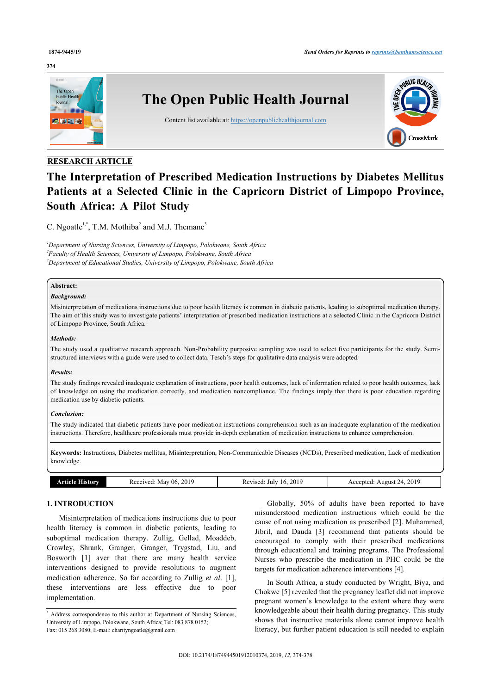#### **374**



# **RESEARCH ARTICLE**

# **The Interpretation of Prescribed Medication Instructions by Diabetes Mellitus Patients at a Selected Clinic in the Capricorn District of Limpopo Province, South Africa: A Pilot Study**

C. Ngoatle<sup>[1,](#page-0-0)[\\*](#page-0-1)</sup>, T.M. Mothiba<sup>[2](#page-0-2)</sup> and M.J. Themane<sup>[3](#page-0-3)</sup>

<span id="page-0-3"></span><span id="page-0-2"></span><span id="page-0-0"></span>*<sup>1</sup>Department of Nursing Sciences, University of Limpopo, Polokwane, South Africa 2 Faculty of Health Sciences, University of Limpopo, Polokwane, South Africa <sup>3</sup>Department of Educational Studies, University of Limpopo, Polokwane, South Africa*

# **Abstract:**

#### *Background:*

Misinterpretation of medications instructions due to poor health literacy is common in diabetic patients, leading to suboptimal medication therapy. The aim of this study was to investigate patients' interpretation of prescribed medication instructions at a selected Clinic in the Capricorn District of Limpopo Province, South Africa.

# *Methods:*

The study used a qualitative research approach. Non-Probability purposive sampling was used to select five participants for the study. Semistructured interviews with a guide were used to collect data. Tesch's steps for qualitative data analysis were adopted.

#### *Results:*

The study findings revealed inadequate explanation of instructions, poor health outcomes, lack of information related to poor health outcomes, lack of knowledge on using the medication correctly, and medication noncompliance. The findings imply that there is poor education regarding medication use by diabetic patients.

#### *Conclusion:*

The study indicated that diabetic patients have poor medication instructions comprehension such as an inadequate explanation of the medication instructions. Therefore, healthcare professionals must provide in-depth explanation of medication instructions to enhance comprehension.

**Keywords:** Instructions, Diabetes mellitus, Misinterpretation, Non-Communicable Diseases (NCDs), Prescribed medication, Lack of medication knowledge.

| listorv<br>ме | 2019<br>eceived:<br>-06<br>. May | 2019<br>vised<br>July<br><u>וא</u><br>יי<br>____<br>. | 2019<br>ccepted<br>August<br>$\prime$<br>ЧC.<br>.<br>. |
|---------------|----------------------------------|-------------------------------------------------------|--------------------------------------------------------|
|---------------|----------------------------------|-------------------------------------------------------|--------------------------------------------------------|

# **1. INTRODUCTION**

Misinterpretation of medications instructions due to poor health literacy is common in diabetic patients, leading to suboptimal medication therapy. Zullig, Gellad, Moaddeb, Crowley, Shrank, Granger, Granger, Trygstad, Liu, and Bosworth [\[1\]](#page-4-0) aver that there are many health service interventions designed to provide resolutions to augment medication adherence. So far according to Zullig *et al*. [\[1\]](#page-4-0), these interventions are less effective due to poor implementation.

Globally, 50% of adults have been reported to have misunderstood medication instructions which could be the cause of not using medication as prescribed [[2\]](#page-4-1). Muhammed, Jibril, and Dauda [\[3\]](#page-4-2) recommend that patients should be encouraged to comply with their prescribed medications through educational and training programs. The Professional Nurses who prescribe the medication in PHC could be the targets for medication adherence interventions [\[4\]](#page-4-3).

In South Africa, a study conducted by Wright, Biya, and Chokwe [\[5\]](#page-4-4) revealed that the pregnancy leaflet did not improve pregnant women's knowledge to the extent where they were knowledgeable about their health during pregnancy. This study shows that instructive materials alone cannot improve health literacy, but further patient education is still needed to explain

<span id="page-0-1"></span><sup>\*</sup> Address correspondence to this author at Department of Nursing Sciences, University of Limpopo, Polokwane, South Africa; Tel: 083 878 0152; Fax: 015 268 3080; E-mail: [charityngoatle@gmail.com](mailto:charityngoatle@gmail.com)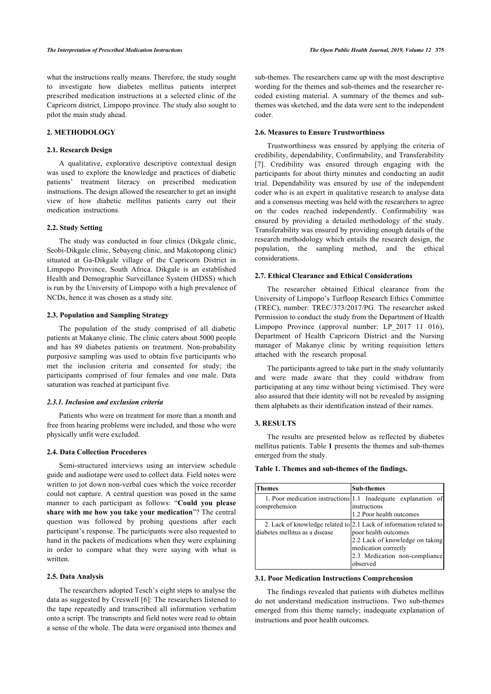what the instructions really means. Therefore, the study sought to investigate how diabetes mellitus patients interpret prescribed medication instructions at a selected clinic of the Capricorn district, Limpopo province. The study also sought to pilot the main study ahead.

# **2. METHODOLOGY**

#### **2.1. Research Design**

A qualitative, explorative descriptive contextual design was used to explore the knowledge and practices of diabetic patients' treatment literacy on prescribed medication instructions. The design allowed the researcher to get an insight view of how diabetic mellitus patients carry out their medication instructions.

# **2.2. Study Setting**

The study was conducted in four clinics (Dikgale clinic, Seobi-Dikgale clinic, Sebayeng clinic, and Makotopong clinic) situated at Ga-Dikgale village of the Capricorn District in Limpopo Province, South Africa. Dikgale is an established Health and Demographic Surveillance System (HDSS) which is run by the University of Limpopo with a high prevalence of NCDs, hence it was chosen as a study site.

# **2.3. Population and Sampling Strategy**

The population of the study comprised of all diabetic patients at Makanye clinic. The clinic caters about 5000 people and has 89 diabetes patients on treatment. Non-probability purposive sampling was used to obtain five participants who met the inclusion criteria and consented for study; the participants comprised of four females and one male. Data saturation was reached at participant five.

#### *2.3.1. Inclusion and exclusion criteria*

Patients who were on treatment for more than a month and free from hearing problems were included, and those who were physically unfit were excluded.

### **2.4. Data Collection Procedures**

<span id="page-1-0"></span>Semi-structured interviews using an interview schedule guide and audiotape were used to collect data. Field notes were written to jot down non-verbal cues which the voice recorder could not capture. A central question was posed in the same manner to each participant as follows: "**Could you please share with me how you take your medication**"? The central question was followed by probing questions after each participant's response. The participants were also requested to hand in the packets of medications when they were explaining in order to compare what they were saying with what is written.

# **2.5. Data Analysis**

The researchers adopted Tesch's eight steps to analyse the data as suggested by Creswell [[6\]](#page-4-5): The researchers listened to the tape repeatedly and transcribed all information verbatim onto a script. The transcripts and field notes were read to obtain a sense of the whole. The data were organised into themes and

sub-themes. The researchers came up with the most descriptive wording for the themes and sub-themes and the researcher recoded existing material. A summary of the themes and subthemes was sketched, and the data were sent to the independent coder.

#### **2.6. Measures to Ensure Trustworthiness**

Trustworthiness was ensured by applying the criteria of credibility, dependability, Confirmability, and Transferability [[7\]](#page-4-6). Credibility was ensured through engaging with the participants for about thirty minutes and conducting an audit trial. Dependability was ensured by use of the independent coder who is an expert in qualitative research to analyse data and a consensus meeting was held with the researchers to agree on the codes reached independently. Confirmability was ensured by providing a detailed methodology of the study. Transferability was ensured by providing enough details of the research methodology which entails the research design, the population, the sampling method, and the ethical considerations.

# **2.7. Ethical Clearance and Ethical Considerations**

The researcher obtained Ethical clearance from the University of Limpopo's Turfloop Research Ethics Committee (TREC), number: TREC/373/2017/PG. The researcher asked Permission to conduct the study from the Department of Health Limpopo Province (approval number: LP\_2017 11 016), Department of Health Capricorn District and the Nursing manager of Makanye clinic by writing requisition letters attached with the research proposal.

The participants agreed to take part in the study voluntarily and were made aware that they could withdraw from participating at any time without being victimised. They were also assured that their identity will not be revealed by assigning them alphabets as their identification instead of their names.

#### **3. RESULTS**

The results are presented below as reflected by diabetes mellitus patients. Table **[1](#page-1-0)** presents the themes and sub-themes emerged from the study.

#### **Table 1. Themes and sub-themes of the findings.**

| Themes                         | <b>Sub-themes</b>                                                                                                                                                                                  |  |
|--------------------------------|----------------------------------------------------------------------------------------------------------------------------------------------------------------------------------------------------|--|
| comprehension                  | 1. Poor medication instructions 1.1 Inadequate explanation of<br>instructions<br>1.2 Poor health outcomes                                                                                          |  |
| diabetes mellitus as a disease | 2. Lack of knowledge related to 2.1 Lack of information related to<br>poor health outcomes<br>2.2 Lack of knowledge on taking<br>medication correctly<br>2.3 Medication non-compliance<br>observed |  |

#### **3.1. Poor Medication Instructions Comprehension**

The findings revealed that patients with diabetes mellitus do not understand medication instructions. Two sub-themes emerged from this theme namely; inadequate explanation of instructions and poor health outcomes.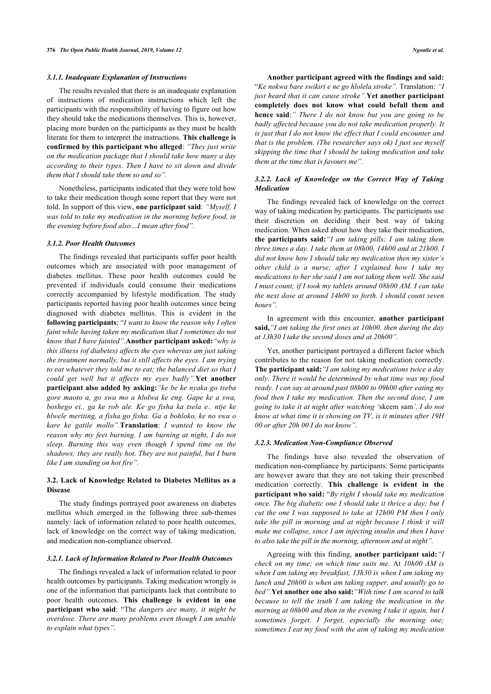#### *3.1.1. Inadequate Explanation of Instructions*

The results revealed that there is an inadequate explanation of instructions of medication instructions which left the participants with the responsibility of having to figure out how they should take the medications themselves. This is, however, placing more burden on the participants as they must be health literate for them to interpret the instructions. **This challenge is confirmed by this participant who alleged**: *"They just write on the medication package that I should take how many a day according to their types. Then I have to sit down and divide them that I should take them so and so".*

Nonetheless, participants indicated that they were told how to take their medication though some report that they were not told. In support of this view, **one participant said**: *"Myself, I was told to take my medication in the morning before food, in the evening before food also…I mean after food".*

#### *3.1.2. Poor Health Outcomes*

The findings revealed that participants suffer poor health outcomes which are associated with poor management of diabetes mellitus. These poor health outcomes could be prevented if individuals could consume their medications correctly accompanied by lifestyle modification. The study participants reported having poor health outcomes since being diagnosed with diabetes mellitus. This is evident in the **following participants**; "*I want to know the reason why I often faint while having taken my medication that I sometimes do not know that I have fainted".***Another participant asked:***"why is this illness (of diabetes) affects the eyes whereas am just taking the treatment normally, but it still affects the eyes. I am trying to eat whatever they told me to eat; the balanced diet so that I could get well but it affects my eyes badly".***Yet another participant also added by asking:***"ke be ke nyaka go tseba gore maoto a, go swa mo a hlolwa ke eng. Gape ke a swa, boshego ei.. ga ke rob ale. Ke go fisha ka tsela e.. ntje ke hlwele meriting, a fisha go fisha. Ga a bohloko, ke no swa o kare ke gatile mollo".***Translation**: *I wanted to know the reason why my feet burning. I am burning at night, I do not sleep. Burning this way even though I spend time on the shadows; they are really hot. They are not painful, but I burn like I am standing on hot fire".*

# **3.2. Lack of Knowledge Related to Diabetes Mellitus as a Disease**

The study findings portrayed poor awareness on diabetes mellitus which emerged in the following three sub-themes namely: lack of information related to poor health outcomes, lack of knowledge on the correct way of taking medication, and medication non-compliance observed.

#### *3.2.1. Lack of Information Related to Poor Health Outcomes*

The findings revealed a lack of information related to poor health outcomes by participants. Taking medication wrongly is one of the information that participants lack that contribute to poor health outcomes. **This challenge is evident in one participant who said**: "The *dangers are many, it might be overdose. There are many problems even though I am unable to explain what types".*

**Another participant agreed with the findings and said:** "*Ke nokwa bare swikiri e ne go hlolela stroke".* Translation: *"I just heard that it can cause stroke".***Yet another participant completely does not know what could befall them and hence said**:*" There I do not know but you are going to be badly affected because you do not take medication properly. It is just that I do not know the effect that I could encounter and that is the problem. (The researcher says ok) I just see myself skipping the time that I should be taking medication and take them at the time that is favours me".*

### *3.2.2. Lack of Knowledge on the Correct Way of Taking Medication*

The findings revealed lack of knowledge on the correct way of taking medication by participants. The participants use their discretion on deciding their best way of taking medication. When asked about how they take their medication, **the participants said:***"I am taking pills; I am taking them three times a day. I take them at 08h00, 14h00 and at 21h00. I did not know how I should take my medication then my sister's other child is a nurse; after I explained how I take my medications to her she said I am not taking them well. She said I must count; if I took my tablets around 08h00 AM. I can take the next dose at around 14h00 so forth. I should count seven hours".*

In agreement with this encounter, **another participant said,***"I am taking the first ones at 10h00, then during the day at 13h30 I take the second doses and at 20h00".*

Yet, another participant portrayed a different factor which contributes to the reason for not taking medication correctly. **The participant said:***"I am taking my medications twice a day only. There it would be determined by what time was my food ready. I can say at around past 08h00 to 09h00 after eating my food then I take my medication. Then the second dose, I am going to take it at night after watching '*skeem sam*'. I do not know at what time it is showing on TV, is it minutes after 19H 00 or after 20h 00 I do not know".*

#### *3.2.3. Medication Non-Compliance Observed*

The findings have also revealed the observation of medication non-compliance by participants. Some participants are however aware that they are not taking their prescribed medication correctly. **This challenge is evident in the participant who said:** "*By right I should take my medication once. The big diabetic one I should take it thrice a day; but I cut the one I was supposed to take at 12h00 PM then I only take the pill in morning and at night because I think it will make me collapse, since I am injecting insulin and then I have to also take the pill in the morning, afternoon and at night".*

Agreeing with this finding, **another participant said:***"I check on my time; on which time suits me.* At *10h00 AM is when I am taking my breakfast, 13h30 is when I am taking my lunch and 20h00 is when am taking supper, and usually go to bed".***Yet another one also said:***"With time I am scared to talk because to tell the truth I am taking the medication in the morning at 08h00 and then in the evening I take it again, but I sometimes forget. I forget, especially the morning one; sometimes I eat my food with the aim of taking my medication*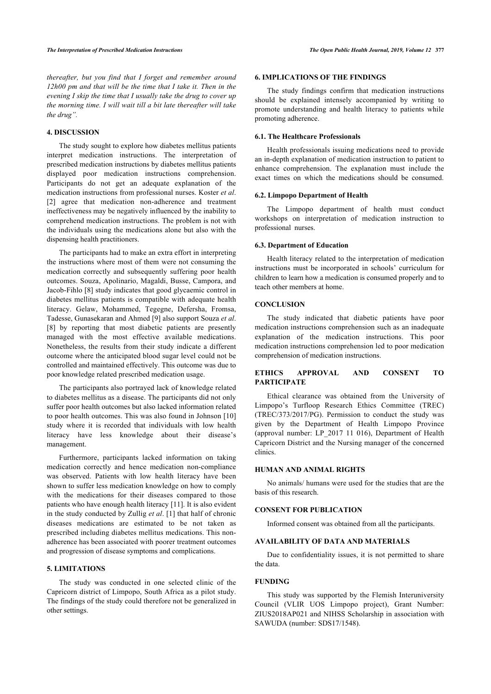*thereafter, but you find that I forget and remember around 12h00 pm and that will be the time that I take it. Then in the evening I skip the time that I usually take the drug to cover up the morning time. I will wait till a bit late thereafter will take the drug".*

# **4. DISCUSSION**

The study sought to explore how diabetes mellitus patients interpret medication instructions. The interpretation of prescribed medication instructions by diabetes mellitus patients displayed poor medication instructions comprehension. Participants do not get an adequate explanation of the medication instructions from professional nurses. Koster *et al*. [[2](#page-4-1)] agree that medication non-adherence and treatment ineffectiveness may be negatively influenced by the inability to comprehend medication instructions. The problem is not with the individuals using the medications alone but also with the dispensing health practitioners.

The participants had to make an extra effort in interpreting the instructions where most of them were not consuming the medication correctly and subsequently suffering poor health outcomes. Souza, Apolinario, Magaldi, Busse, Campora, and Jacob-Fihlo [[8](#page-4-7)] study indicates that good glycaemic control in diabetes mellitus patients is compatible with adequate health literacy. Gelaw, Mohammed, Tegegne, Defersha, Fromsa, Tadesse, Gunasekaran and Ahmed [\[9\]](#page-4-8) also support Souza *et al*. [[8](#page-4-7)] by reporting that most diabetic patients are presently managed with the most effective available medications. Nonetheless, the results from their study indicate a different outcome where the anticipated blood sugar level could not be controlled and maintained effectively. This outcome was due to poor knowledge related prescribed medication usage.

The participants also portrayed lack of knowledge related to diabetes mellitus as a disease. The participants did not only suffer poor health outcomes but also lacked information related to poor health outcomes. This was also found in Johnson [[10](#page-4-9)] study where it is recorded that individuals with low health literacy have less knowledge about their disease's management.

Furthermore, participants lacked information on taking medication correctly and hence medication non-compliance was observed. Patients with low health literacy have been shown to suffer less medication knowledge on how to comply with the medications for their diseases compared to those patients who have enough health literacy [\[11](#page-4-10)]. It is also evident in the study conducted by Zullig *et al*. [[1](#page-4-0)] that half of chronic diseases medications are estimated to be not taken as prescribed including diabetes mellitus medications. This nonadherence has been associated with poorer treatment outcomes and progression of disease symptoms and complications.

# **5. LIMITATIONS**

The study was conducted in one selected clinic of the Capricorn district of Limpopo, South Africa as a pilot study. The findings of the study could therefore not be generalized in other settings.

#### **6. IMPLICATIONS OF THE FINDINGS**

The study findings confirm that medication instructions should be explained intensely accompanied by writing to promote understanding and health literacy to patients while promoting adherence.

#### **6.1. The Healthcare Professionals**

Health professionals issuing medications need to provide an in-depth explanation of medication instruction to patient to enhance comprehension. The explanation must include the exact times on which the medications should be consumed.

#### **6.2. Limpopo Department of Health**

The Limpopo department of health must conduct workshops on interpretation of medication instruction to professional nurses.

#### **6.3. Department of Education**

Health literacy related to the interpretation of medication instructions must be incorporated in schools' curriculum for children to learn how a medication is consumed properly and to teach other members at home.

# **CONCLUSION**

The study indicated that diabetic patients have poor medication instructions comprehension such as an inadequate explanation of the medication instructions. This poor medication instructions comprehension led to poor medication comprehension of medication instructions.

# **ETHICS APPROVAL AND CONSENT TO PARTICIPATE**

Ethical clearance was obtained from the University of Limpopo's Turfloop Research Ethics Committee (TREC) (TREC/373/2017/PG). Permission to conduct the study was given by the Department of Health Limpopo Province (approval number: LP\_2017 11 016), Department of Health Capricorn District and the Nursing manager of the concerned clinics.

#### **HUMAN AND ANIMAL RIGHTS**

No animals/ humans were used for the studies that are the basis of this research.

# **CONSENT FOR PUBLICATION**

Informed consent was obtained from all the participants.

# **AVAILABILITY OF DATA AND MATERIALS**

Due to confidentiality issues, it is not permitted to share the data.

# **FUNDING**

This study was supported by the Flemish Interuniversity Council (VLIR UOS Limpopo project), Grant Number: ZIUS2018AP021 and NIHSS Scholarship in association with SAWUDA (number: SDS17/1548).